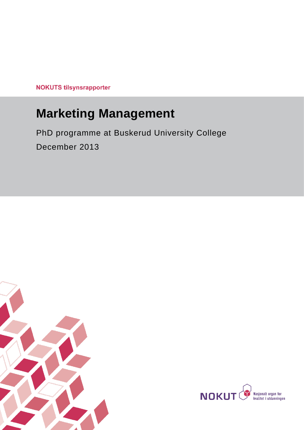**NOKUTS tilsynsrapporter** 

# **Marketing Management**

# PhD programme at Buskerud University College December 2013



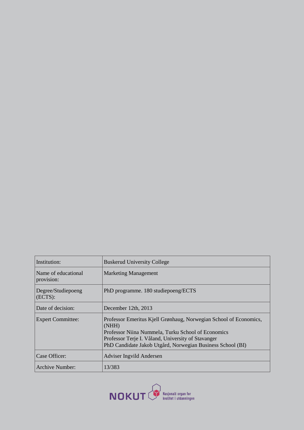| Institution:                      | <b>Buskerud University College</b>                                                                                                                                                                                                                   |
|-----------------------------------|------------------------------------------------------------------------------------------------------------------------------------------------------------------------------------------------------------------------------------------------------|
| Name of educational<br>provision: | <b>Marketing Management</b>                                                                                                                                                                                                                          |
| Degree/Studiepoeng<br>(ECTS):     | PhD programme. 180 studiepoeng/ECTS                                                                                                                                                                                                                  |
| Date of decision:                 | December 12th, 2013                                                                                                                                                                                                                                  |
| <b>Expert Committee:</b>          | Professor Emeritus Kjell Grønhaug, Norwegian School of Economics,<br>(NHH)<br>Professor Niina Nummela, Turku School of Economics<br>Professor Terje I. Våland, University of Stavanger<br>PhD Candidate Jakob Utgård, Norwegian Business School (BI) |
| Case Officer:                     | Adviser Ingvild Andersen                                                                                                                                                                                                                             |
| Archive Number:                   | 13/383                                                                                                                                                                                                                                               |

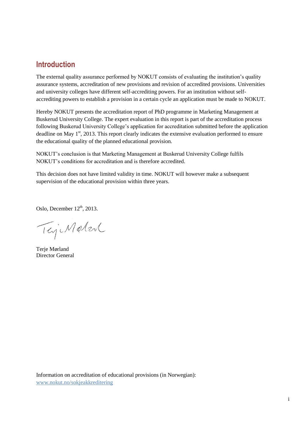## **Introduction**

The external quality assurance performed by NOKUT consists of evaluating the institution's quality assurance systems, accreditation of new provisions and revision of accredited provisions. Universities and university colleges have different self-accrediting powers. For an institution without selfaccrediting powers to establish a provision in a certain cycle an application must be made to NOKUT.

Hereby NOKUT presents the accreditation report of PhD programme in Marketing Management at Buskerud University College. The expert evaluation in this report is part of the accreditation process following Buskerud University College's application for accreditation submitted before the application deadline on May  $1<sup>st</sup>$ , 2013. This report clearly indicates the extensive evaluation performed to ensure the educational quality of the planned educational provision.

NOKUT's conclusion is that Marketing Management at Buskerud University College fulfils NOKUT's conditions for accreditation and is therefore accredited.

This decision does not have limited validity in time. NOKUT will however make a subsequent supervision of the educational provision within three years.

Oslo, December  $12<sup>th</sup>$ , 2013.

TejiMatent

Terie Mørland Director General

Information on accreditation of educational provisions (in Norwegian): [www.nokut.no/sokjeakkreditering](http://www.nokut.no/sokjeakkreditering)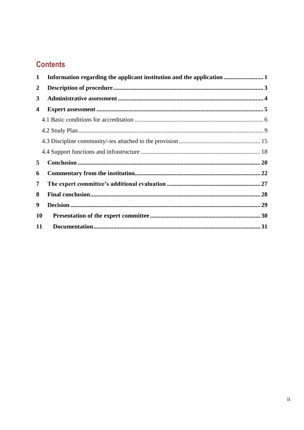# **Contents**

| 1                |  |  |
|------------------|--|--|
| $\boldsymbol{2}$ |  |  |
| 3                |  |  |
| 4                |  |  |
|                  |  |  |
|                  |  |  |
|                  |  |  |
|                  |  |  |
| 5                |  |  |
| 6                |  |  |
| 7                |  |  |
| 8                |  |  |
| 9                |  |  |
| 10               |  |  |
| 11               |  |  |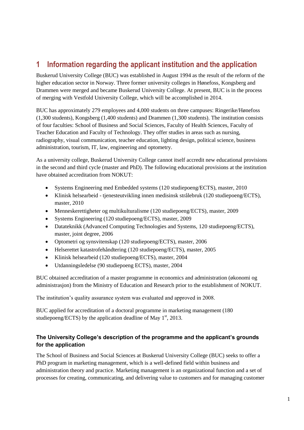# <span id="page-4-0"></span>**1 Information regarding the applicant institution and the application**

Buskerud University College (BUC) was established in August 1994 as the result of the reform of the higher education sector in Norway. Three former university colleges in Hønefoss, Kongsberg and Drammen were merged and became Buskerud University College. At present, BUC is in the process of merging with Vestfold University College, which will be accomplished in 2014.

BUC has approximately 279 employees and 4,000 students on three campuses: Ringerike/Hønefoss (1,300 students), Kongsberg (1,400 students) and Drammen (1,300 students). The institution consists of four faculties: School of Business and Social Sciences, Faculty of Health Sciences, Faculty of Teacher Education and Faculty of Technology. They offer studies in areas such as nursing, radiography, visual communication, teacher education, lighting design, political science, business administration, tourism, IT, law, engineering and optometry.

As a university college, Buskerud University College cannot itself accredit new educational provisions in the second and third cycle (master and PhD). The following educational provisions at the institution have obtained accreditation from NOKUT:

- Systems Engineering med Embedded systems (120 studiepoeng/ECTS), master, 2010
- Klinisk helsearbeid tjenesteutvikling innen medisinsk strålebruk (120 studiepoeng/ECTS), master, 2010
- Menneskerettigheter og multikulturalisme (120 studiepoeng/ECTS), master, 2009
- Systems Engineering (120 studiepoeng/ECTS), master, 2009
- Datateknikk (Advanced Computing Technologies and Systems, 120 studiepoeng/ECTS), master, joint degree, 2006
- Optometri og synsvitenskap (120 studiepoeng/ECTS), master, 2006
- Helserettet katastrofehåndtering (120 studiepoeng/ECTS), master, 2005
- Klinisk helsearbeid (120 studiepoeng/ECTS), master, 2004
- Utdanningsledelse (90 studiepoeng ECTS), master, 2004

BUC obtained accreditation of a master programme in economics and administration (økonomi og administrasjon) from the Ministry of Education and Research prior to the establishment of NOKUT.

The institution's quality assurance system was evaluated and approved in 2008.

BUC applied for accreditation of a doctoral programme in marketing management (180 studiepoeng/ECTS) by the application deadline of May  $1<sup>st</sup>$ , 2013.

### **The University College's description of the programme and the applicant's grounds for the application**

The School of Business and Social Sciences at Buskerud University College (BUC) seeks to offer a PhD program in marketing management, which is a well-defined field within business and administration theory and practice. Marketing management is an organizational function and a set of processes for creating, communicating, and delivering value to customers and for managing customer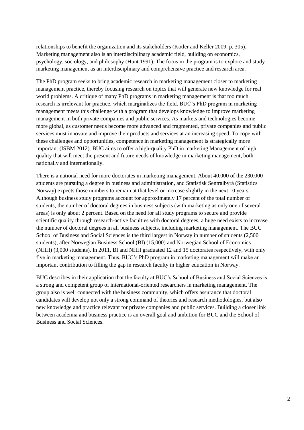relationships to benefit the organization and its stakeholders (Kotler and Keller 2009, p. 305). Marketing management also is an interdisciplinary academic field, building on economics, psychology, sociology, and philosophy (Hunt 1991). The focus in the program is to explore and study marketing management as an interdisciplinary and comprehensive practice and research area.

The PhD program seeks to bring academic research in marketing management closer to marketing management practice, thereby focusing research on topics that will generate new knowledge for real world problems. A critique of many PhD programs in marketing management is that too much research is irrelevant for practice, which marginalizes the field. BUC's PhD program in marketing management meets this challenge with a program that develops knowledge to improve marketing management in both private companies and public services. As markets and technologies become more global, as customer needs become more advanced and fragmented, private companies and public services must innovate and improve their products and services at an increasing speed. To cope with these challenges and opportunities, competence in marketing management is strategically more important (ISBM 2012). BUC aims to offer a high-quality PhD in marketing Management of high quality that will meet the present and future needs of knowledge in marketing management, both nationally and internationally.

There is a national need for more doctorates in marketing management. About 40.000 of the 230.000 students are pursuing a degree in business and administration, and Statistisk Sentralbyrå (Statistics Norway) expects those numbers to remain at that level or increase slightly in the next 10 years. Although business study programs account for approximately 17 percent of the total number of students, the number of doctoral degrees in business subjects (with marketing as only one of several areas) is only about 2 percent. Based on the need for all study programs to secure and provide scientific quality through research-active faculties with doctoral degrees, a huge need exists to increase the number of doctoral degrees in all business subjects, including marketing management. The BUC School of Business and Social Sciences is the third largest in Norway in number of students (2,500 students), after Norwegian Business School (BI) (15,000) and Norwegian School of Economics (NHH) (3,000 students). In 2011, BI and NHH graduated 12 and 15 doctorates respectively, with only five in marketing management. Thus, BUC's PhD program in marketing management will make an important contribution to filling the gap in research faculty in higher education in Norway.

BUC describes in their application that the faculty at BUC's School of Business and Social Sciences is a strong and competent group of international-oriented researchers in marketing management. The group also is well connected with the business community, which offers assurance that doctoral candidates will develop not only a strong command of theories and research methodologies, but also new knowledge and practice relevant for private companies and public services. Building a closer link between academia and business practice is an overall goal and ambition for BUC and the School of Business and Social Sciences.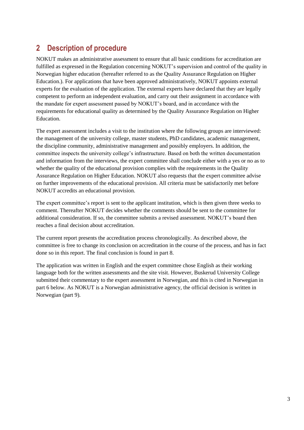# <span id="page-6-0"></span>**2 Description of procedure**

NOKUT makes an administrative assessment to ensure that all basic conditions for accreditation are fulfilled as expressed in the Regulation concerning NOKUT's supervision and control of the quality in Norwegian higher education (hereafter referred to as the Quality Assurance Regulation on Higher Education.). For applications that have been approved administratively, NOKUT appoints external experts for the evaluation of the application. The external experts have declared that they are legally competent to perform an independent evaluation, and carry out their assignment in accordance with the mandate for expert assessment passed by NOKUT's board, and in accordance with the requirements for educational quality as determined by the Quality Assurance Regulation on Higher Education.

The expert assessment includes a visit to the institution where the following groups are interviewed: the management of the university college, master students, PhD candidates, academic management, the discipline community, administrative management and possibly employers. In addition, the committee inspects the university college's infrastructure. Based on both the written documentation and information from the interviews, the expert committee shall conclude either with a yes or no as to whether the quality of the educational provision complies with the requirements in the Quality Assurance Regulation on Higher Education. NOKUT also requests that the expert committee advise on further improvements of the educational provision. All criteria must be satisfactorily met before NOKUT accredits an educational provision.

The expert committee's report is sent to the applicant institution, which is then given three weeks to comment. Thereafter NOKUT decides whether the comments should be sent to the committee for additional consideration. If so, the committee submits a revised assessment. NOKUT's board then reaches a final decision about accreditation.

The current report presents the accreditation process chronologically. As described above, the committee is free to change its conclusion on accreditation in the course of the process, and has in fact done so in this report. The final conclusion is found in part 8.

The application was written in English and the expert committee chose English as their working language both for the written assessments and the site visit. However, Buskerud University College submitted their commentary to the expert assessment in Norwegian, and this is cited in Norwegian in part 6 below. As NOKUT is a Norwegian administrative agency, the official decision is written in Norwegian (part 9).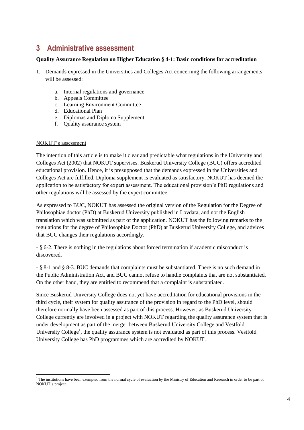# <span id="page-7-0"></span>**3 Administrative assessment**

### **Quality Assurance Regulation on Higher Education § 4-1: Basic conditions for accreditation**

- 1. Demands expressed in the Universities and Colleges Act concerning the following arrangements will be assessed:
	- a. Internal regulations and governance
	- b. Appeals Committee
	- c. Learning Environment Committee
	- d. Educational Plan
	- e. Diplomas and Diploma Supplement
	- f. Quality assurance system

### NOKUT's assessment

l

The intention of this article is to make it clear and predictable what regulations in the University and Colleges Act (2002) that NOKUT supervises. Buskerud University College (BUC) offers accredited educational provision. Hence, it is presupposed that the demands expressed in the Universities and Colleges Act are fulfilled. Diploma supplement is evaluated as satisfactory. NOKUT has deemed the application to be satisfactory for expert assessment. The educational provision's PhD regulations and other regulations will be assessed by the expert committee.

As expressed to BUC, NOKUT has assessed the original version of the Regulation for the Degree of Philosophiae doctor (PhD) at Buskerud University published in Lovdata, and not the English translation which was submitted as part of the application. NOKUT has the following remarks to the regulations for the degree of Philosophiae Doctor (PhD) at Buskerud University College, and advices that BUC changes their regulations accordingly.

- § 6-2. There is nothing in the regulations about forced termination if academic misconduct is discovered.

- § 8-1 and § 8-3. BUC demands that complaints must be substantiated. There is no such demand in the Public Administration Act, and BUC cannot refuse to handle complaints that are not substantiated. On the other hand, they are entitled to recommend that a complaint is substantiated.

Since Buskerud University College does not yet have accreditation for educational provisions in the third cycle, their system for quality assurance of the provision in regard to the PhD level, should therefore normally have been assessed as part of this process. However, as Buskerud University College currently are involved in a project with NOKUT regarding the quality assurance system that is under development as part of the merger between Buskerud University College and Vestfold University College<sup>1</sup>, the quality assurance system is not evaluated as part of this process. Vestfold University College has PhD programmes which are accredited by NOKUT.

<sup>&</sup>lt;sup>1</sup> The institutions have been exempted from the normal cycle of evaluation by the Ministry of Education and Research in order to be part of NOKUT's project.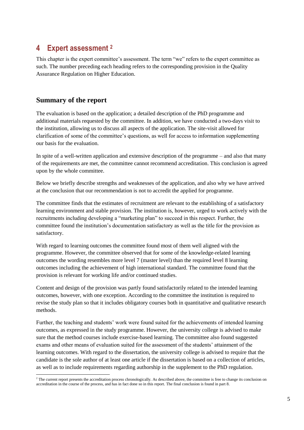### <span id="page-8-0"></span>**4 Expert assessment <sup>2</sup>**

This chapter is the expert committee's assessment. The term "we" refers to the expert committee as such. The number preceding each heading refers to the corresponding provision in the Quality Assurance Regulation on Higher Education.

### **Summary of the report**

l

The evaluation is based on the application; a detailed description of the PhD programme and additional materials requested by the committee. In addition, we have conducted a two-days visit to the institution, allowing us to discuss all aspects of the application. The site-visit allowed for clarification of some of the committee's questions, as well for access to information supplementing our basis for the evaluation.

In spite of a well-written application and extensive description of the programme – and also that many of the requirements are met, the committee cannot recommend accreditation. This conclusion is agreed upon by the whole committee.

Below we briefly describe strengths and weaknesses of the application, and also why we have arrived at the conclusion that our recommendation is not to accredit the applied for programme.

The committee finds that the estimates of recruitment are relevant to the establishing of a satisfactory learning environment and stable provision. The institution is, however, urged to work actively with the recruitments including developing a "marketing plan" to succeed in this respect. Further, the committee found the institution's documentation satisfactory as well as the title for the provision as satisfactory.

With regard to learning outcomes the committee found most of them well aligned with the programme. However, the committee observed that for some of the knowledge-related learning outcomes the wording resembles more level 7 (master level) than the required level 8 learning outcomes including the achievement of high international standard. The committee found that the provision is relevant for working life and/or continued studies.

Content and design of the provision was partly found satisfactorily related to the intended learning outcomes, however, with one exception. According to the committee the institution is required to revise the study plan so that it includes obligatory courses both in quantitative and qualitative research methods.

Further, the teaching and students' work were found suited for the achievements of intended learning outcomes, as expressed in the study programme. However, the university college is advised to make sure that the method courses include exercise-based learning. The committee also found suggested exams and other means of evaluation suited for the assessment of the students' attainment of the learning outcomes. With regard to the dissertation, the university college is advised to require that the candidate is the sole author of at least one article if the dissertation is based on a collection of articles, as well as to include requirements regarding authorship in the supplement to the PhD regulation.

<sup>&</sup>lt;sup>2</sup> The current report presents the accreditation process chronologically. As described above, the committee is free to change its conclusion on accreditation in the course of the process, and has in fact done so in this report. The final conclusion is found in part 8.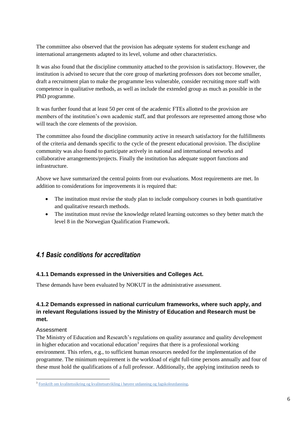The committee also observed that the provision has adequate systems for student exchange and international arrangements adapted to its level, volume and other characteristics.

It was also found that the discipline community attached to the provision is satisfactory. However, the institution is advised to secure that the core group of marketing professors does not become smaller, draft a recruitment plan to make the programme less vulnerable, consider recruiting more staff with competence in qualitative methods, as well as include the extended group as much as possible in the PhD programme.

It was further found that at least 50 per cent of the academic FTEs allotted to the provision are members of the institution's own academic staff, and that professors are represented among those who will teach the core elements of the provision.

The committee also found the discipline community active in research satisfactory for the fulfillments of the criteria and demands specific to the cycle of the present educational provision. The discipline community was also found to participate actively in national and international networks and collaborative arrangements/projects. Finally the institution has adequate support functions and infrastructure.

Above we have summarized the central points from our evaluations. Most requirements are met. In addition to considerations for improvements it is required that:

- The institution must revise the study plan to include compulsory courses in both quantitative and qualitative research methods.
- The institution must revise the knowledge related learning outcomes so they better match the level 8 in the Norwegian Qualification Framework.

### <span id="page-9-0"></span>*4.1 Basic conditions for accreditation*

### **4.1.1 Demands expressed in the Universities and Colleges Act.**

These demands have been evaluated by NOKUT in the administrative assessment.

### **4.1.2 Demands expressed in national curriculum frameworks, where such apply, and in relevant Regulations issued by the Ministry of Education and Research must be met.**

### Assessment

The Ministry of Education and Research's regulations on quality assurance and quality development in higher education and vocational education<sup>3</sup> requires that there is a professional working environment. This refers, e.g., to sufficient human resources needed for the implementation of the programme. The minimum requirement is the workload of eight full-time persons annually and four of these must hold the qualifications of a full professor. Additionally, the applying institution needs to

<sup>&</sup>lt;sup>3</sup> [Forskrift om kvalitetssikring og kvalitetsutvikling i høyere utdanning og fagskoleutdanning.](http://lovdata.no/for/sf/kd/xd-20100201-0096.html)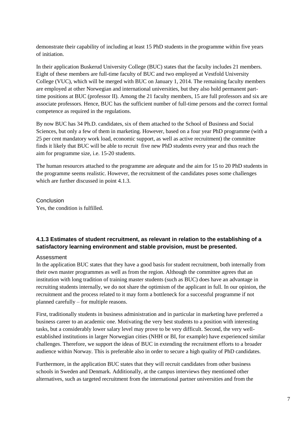demonstrate their capability of including at least 15 PhD students in the programme within five years of initiation.

In their application Buskerud University College (BUC) states that the faculty includes 21 members. Eight of these members are full-time faculty of BUC and two employed at Vestfold University College (VUC), which will be merged with BUC on January 1, 2014. The remaining faculty members are employed at other Norwegian and international universities, but they also hold permanent parttime positions at BUC (professor II). Among the 21 faculty members, 15 are full professors and six are associate professors. Hence, BUC has the sufficient number of full-time persons and the correct formal competence as required in the regulations.

By now BUC has 34 Ph.D. candidates, six of them attached to the School of Business and Social Sciences, but only a few of them in marketing. However, based on a four year PhD programme (with a 25 per cent mandatory work load, economic support, as well as active recruitment) the committee finds it likely that BUC will be able to recruit five new PhD students every year and thus reach the aim for programme size, i.e. 15-20 students.

The human resources attached to the programme are adequate and the aim for 15 to 20 PhD students in the programme seems realistic. However, the recruitment of the candidates poses some challenges which are further discussed in point 4.1.3.

Conclusion Yes, the condition is fulfilled.

### **4.1.3 Estimates of student recruitment, as relevant in relation to the establishing of a satisfactory learning environment and stable provision, must be presented.**

#### Assessment

In the application BUC states that they have a good basis for student recruitment, both internally from their own master programmes as well as from the region. Although the committee agrees that an institution with long tradition of training master students (such as BUC) does have an advantage in recruiting students internally, we do not share the optimism of the applicant in full. In our opinion, the recruitment and the process related to it may form a bottleneck for a successful programme if not planned carefully – for multiple reasons.

First, traditionally students in business administration and in particular in marketing have preferred a business career to an academic one. Motivating the very best students to a position with interesting tasks, but a considerably lower salary level may prove to be very difficult. Second, the very wellestablished institutions in larger Norwegian cities (NHH or BI, for example) have experienced similar challenges. Therefore, we support the ideas of BUC in extending the recruitment efforts to a broader audience within Norway. This is preferable also in order to secure a high quality of PhD candidates.

Furthermore, in the application BUC states that they will recruit candidates from other business schools in Sweden and Denmark. Additionally, at the campus interviews they mentioned other alternatives, such as targeted recruitment from the international partner universities and from the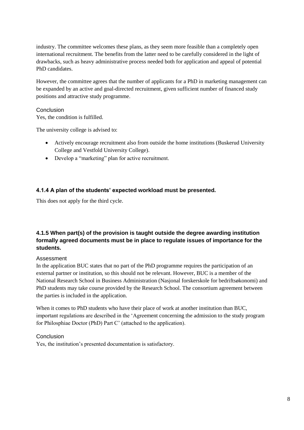industry. The committee welcomes these plans, as they seem more feasible than a completely open international recruitment. The benefits from the latter need to be carefully considered in the light of drawbacks, such as heavy administrative process needed both for application and appeal of potential PhD candidates.

However, the committee agrees that the number of applicants for a PhD in marketing management can be expanded by an active and goal-directed recruitment, given sufficient number of financed study positions and attractive study programme.

### Conclusion

Yes, the condition is fulfilled.

The university college is advised to:

- Actively encourage recruitment also from outside the home institutions (Buskerud University College and Vestfold University College).
- Develop a "marketing" plan for active recruitment.

### **4.1.4 A plan of the students' expected workload must be presented.**

This does not apply for the third cycle.

### **4.1.5 When part(s) of the provision is taught outside the degree awarding institution formally agreed documents must be in place to regulate issues of importance for the students.**

### Assessment

In the application BUC states that no part of the PhD programme requires the participation of an external partner or institution, so this should not be relevant. However, BUC is a member of the National Research School in Business Administration (Nasjonal forskerskole for bedriftsøkonomi) and PhD students may take course provided by the Research School. The consortium agreement between the parties is included in the application.

When it comes to PhD students who have their place of work at another institution than BUC, important regulations are described in the 'Agreement concerning the admission to the study program for Philosphiae Doctor (PhD) Part C' (attached to the application).

### **Conclusion**

Yes, the institution's presented documentation is satisfactory.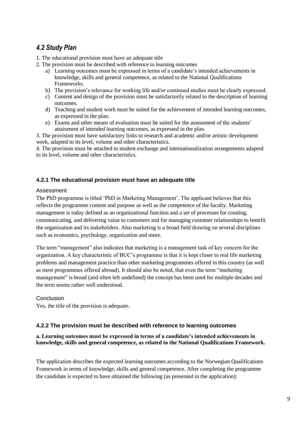### <span id="page-12-0"></span>*4.2 Study Plan*

- 1. The educational provision must have an adequate title
- 2. The provision must be described with reference to learning outcomes
	- a) Learning outcomes must be expressed in terms of a candidate's intended achievements in knowledge, skills and general competence, as related to the National Qualifications Frameworks.
	- b) The provision's relevance for working life and/or continued studies must be clearly expressed.
	- c) Content and design of the provision must be satisfactorily related to the description of learning outcomes.
	- d) Teaching and student work must be suited for the achievement of intended learning outcomes, as expressed in the plan.
	- e) Exams and other means of evaluation must be suited for the assessment of the students' attainment of intended learning outcomes, as expressed in the plan.

3. The provision must have satisfactory links to research and academic and/or artistic development work, adapted to its level, volume and other characteristics.

4. The provision must be attached to student exchange and internationalization arrangements adapted to its level, volume and other characteristics.

### **4.2.1 The educational provision must have an adequate title**

### Assessment

The PhD programme is titled 'PhD in Marketing Management'. The applicant believes that this reflects the programme content and purpose as well as the competence of the faculty. Marketing management is today defined as an organizational function and a set of processes for creating, communicating, and delivering value to customers and for managing customer relationships to benefit the organization and its stakeholders. Also marketing is a broad field drawing on several disciplines such as economics, psychology, organization and more.

The term "management" also indicates that marketing is a management task of key concern for the organization. A key characteristic of BUC's programme is that it is kept closer to real life marketing problems and management practice than other marketing programmes offered in this country (as well as most programmes offered abroad). It should also be noted, that even the term "marketing management" is broad (and often left undefined) the concept has been used for multiple decades and the term seems rather well understood.

### Conclusion

Yes, the title of the provision is adequate.

### **4.2.2 The provision must be described with reference to learning outcomes**

### **a. Learning outcomes must be expressed in terms of a candidate's intended achievements in knowledge, skills and general competence, as related to the National Qualifications Framework.**

The application describes the expected learning outcomes according to the Norwegian Qualifications Framework in terms of knowledge, skills and general competence. After completing the programme the candidate is expected to have obtained the following (as presented in the application):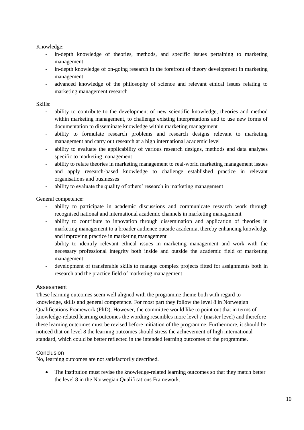Knowledge:

- in-depth knowledge of theories, methods, and specific issues pertaining to marketing management
- in-depth knowledge of on-going research in the forefront of theory development in marketing management
- advanced knowledge of the philosophy of science and relevant ethical issues relating to marketing management research

Skills:

- ability to contribute to the development of new scientific knowledge, theories and method within marketing management, to challenge existing interpretations and to use new forms of documentation to disseminate knowledge within marketing management
- ability to formulate research problems and research designs relevant to marketing management and carry out research at a high international academic level
- ability to evaluate the applicability of various research designs, methods and data analyses specific to marketing management
- ability to relate theories in marketing management to real-world marketing management issues and apply research-based knowledge to challenge established practice in relevant organisations and businesses
- ability to evaluate the quality of others' research in marketing management

General competence:

- ability to participate in academic discussions and communicate research work through recognised national and international academic channels in marketing management
- ability to contribute to innovation through dissemination and application of theories in marketing management to a broader audience outside academia, thereby enhancing knowledge and improving practice in marketing management
- ability to identify relevant ethical issues in marketing management and work with the necessary professional integrity both inside and outside the academic field of marketing management
- development of transferable skills to manage complex projects fitted for assignments both in research and the practice field of marketing management

### Assessment

These learning outcomes seem well aligned with the programme theme both with regard to knowledge, skills and general competence. For most part they follow the level 8 in Norwegian Qualifications Framework (PhD). However, the committee would like to point out that in terms of knowledge-related learning outcomes the wording resembles more level 7 (master level) and therefore these learning outcomes must be revised before initiation of the programme. Furthermore, it should be noticed that on level 8 the learning outcomes should stress the achievement of high international standard, which could be better reflected in the intended learning outcomes of the programme.

### **Conclusion**

No, learning outcomes are not satisfactorily described.

• The institution must revise the knowledge-related learning outcomes so that they match better the level 8 in the Norwegian Qualifications Framework.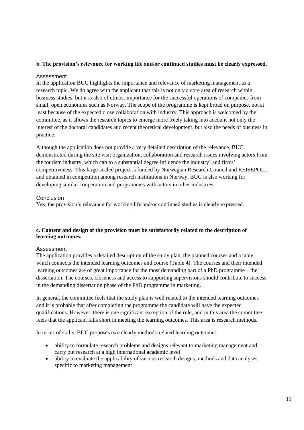### **b. The provision's relevance for working life and/or continued studies must be clearly expressed.**

### Assessment

In the application BUC highlights the importance and relevance of marketing management as a research topic. We do agree with the applicant that this is not only a core area of research within business studies, but it is also of utmost importance for the successful operations of companies from small, open economies such as Norway. The scope of the programme is kept broad on purpose, not at least because of the expected close collaboration with industry. This approach is welcomed by the committee, as it allows the research topics to emerge more freely taking into account not only the interest of the doctoral candidates and recent theoretical development, but also the needs of business in practice.

Although the application does not provide a very detailed description of the relevance, BUC demonstrated during the site visit organization, collaboration and research issues involving actors from the tourism industry, which can to a substantial degree influence the industry' and firms' competitiveness. This large-scaled project is funded by Norwegian Research Council and REISEPOL, and obtained in competition among research institutions in Norway. BUC is also working for developing similar cooperation and programmes with actors in other industries.

### Conclusion

Yes, the provision's relevance for working life and/or continued studies is clearly expressed.

### **c. Content and design of the provision must be satisfactorily related to the description of learning outcomes.**

### Assessment

The application provides a detailed description of the study plan, the planned courses and a table which connects the intended learning outcomes and course (Table 4). The courses and their intended learning outcomes are of great importance for the most demanding part of a PhD programme – the dissertation. The courses, closeness and access to supporting supervisions should contribute to success in the demanding dissertation phase of the PhD programme in marketing.

In general, the committee feels that the study plan is well related to the intended learning outcomes and it is probable that after completing the programme the candidate will have the expected qualifications. However, there is one significant exception of the rule, and in this area the committee feels that the applicant falls short in meeting the learning outcomes. This area is research methods.

In terms of skills, BUC proposes two clearly methods-related learning outcomes:

- ability to formulate research problems and designs relevant to marketing management and carry out research at a high international academic level
- ability to evaluate the applicability of various research designs, methods and data analyses specific to marketing management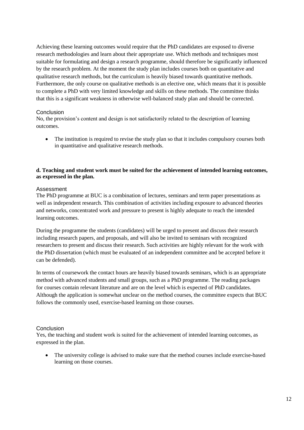Achieving these learning outcomes would require that the PhD candidates are exposed to diverse research methodologies and learn about their appropriate use. Which methods and techniques most suitable for formulating and design a research programme, should therefore be significantly influenced by the research problem. At the moment the study plan includes courses both on quantitative and qualitative research methods, but the curriculum is heavily biased towards quantitative methods. Furthermore, the only course on qualitative methods is an elective one, which means that it is possible to complete a PhD with very limited knowledge and skills on these methods. The committee thinks that this is a significant weakness in otherwise well-balanced study plan and should be corrected.

### Conclusion

No, the provision's content and design is not satisfactorily related to the description of learning outcomes.

• The institution is required to revise the study plan so that it includes compulsory courses both in quantitative and qualitative research methods.

### **d. Teaching and student work must be suited for the achievement of intended learning outcomes, as expressed in the plan.**

### Assessment

The PhD programme at BUC is a combination of lectures, seminars and term paper presentations as well as independent research. This combination of activities including exposure to advanced theories and networks, concentrated work and pressure to present is highly adequate to reach the intended learning outcomes.

During the programme the students (candidates) will be urged to present and discuss their research including research papers, and proposals, and will also be invited to seminars with recognized researchers to present and discuss their research. Such activities are highly relevant for the work with the PhD dissertation (which must be evaluated of an independent committee and be accepted before it can be defended).

In terms of coursework the contact hours are heavily biased towards seminars, which is an appropriate method with advanced students and small groups, such as a PhD programme. The reading packages for courses contain relevant literature and are on the level which is expected of PhD candidates. Although the application is somewhat unclear on the method courses, the committee expects that BUC follows the commonly used, exercise-based learning on those courses.

#### Conclusion

Yes, the teaching and student work is suited for the achievement of intended learning outcomes, as expressed in the plan.

• The university college is advised to make sure that the method courses include exercise-based learning on those courses.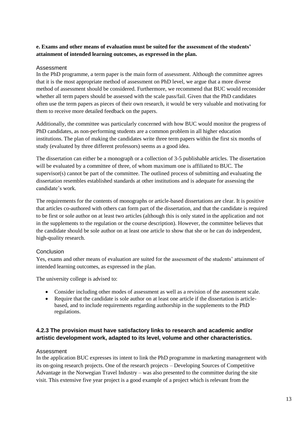### **e. Exams and other means of evaluation must be suited for the assessment of the students' attainment of intended learning outcomes, as expressed in the plan.**

### Assessment

In the PhD programme, a term paper is the main form of assessment. Although the committee agrees that it is the most appropriate method of assessment on PhD level, we argue that a more diverse method of assessment should be considered. Furthermore, we recommend that BUC would reconsider whether all term papers should be assessed with the scale pass/fail. Given that the PhD candidates often use the term papers as pieces of their own research, it would be very valuable and motivating for them to receive more detailed feedback on the papers.

Additionally, the committee was particularly concerned with how BUC would monitor the progress of PhD candidates, as non-performing students are a common problem in all higher education institutions. The plan of making the candidates write three term papers within the first six months of study (evaluated by three different professors) seems as a good idea.

The dissertation can either be a monograph or a collection of 3-5 publishable articles. The dissertation will be evaluated by a committee of three, of whom maximum one is affiliated to BUC. The supervisor(s) cannot be part of the committee. The outlined process of submitting and evaluating the dissertation resembles established standards at other institutions and is adequate for assessing the candidate's work.

The requirements for the contents of monographs or article-based dissertations are clear. It is positive that articles co-authored with others can form part of the dissertation, and that the candidate is required to be first or sole author on at least two articles (although this is only stated in the application and not in the supplements to the regulation or the course description). However, the committee believes that the candidate should be sole author on at least one article to show that she or he can do independent, high-quality research.

### **Conclusion**

Yes, exams and other means of evaluation are suited for the assessment of the students' attainment of intended learning outcomes, as expressed in the plan.

The university college is advised to:

- Consider including other modes of assessment as well as a revision of the assessment scale.
- Require that the candidate is sole author on at least one article if the dissertation is articlebased, and to include requirements regarding authorship in the supplements to the PhD regulations.

### **4.2.3 The provision must have satisfactory links to research and academic and/or artistic development work, adapted to its level, volume and other characteristics.**

### Assessment

In the application BUC expresses its intent to link the PhD programme in marketing management with its on-going research projects. One of the research projects – Developing Sources of Competitive Advantage in the Norwegian Travel Industry – was also presented to the committee during the site visit. This extensive five year project is a good example of a project which is relevant from the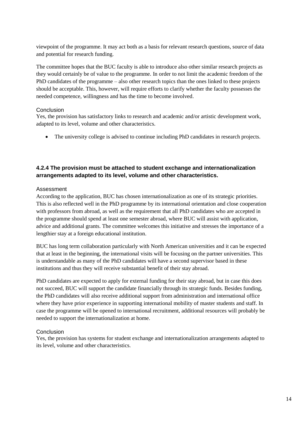viewpoint of the programme. It may act both as a basis for relevant research questions, source of data and potential for research funding.

The committee hopes that the BUC faculty is able to introduce also other similar research projects as they would certainly be of value to the programme. In order to not limit the academic freedom of the PhD candidates of the programme – also other research topics than the ones linked to these projects should be acceptable. This, however, will require efforts to clarify whether the faculty possesses the needed competence, willingness and has the time to become involved.

### Conclusion

Yes, the provision has satisfactory links to research and academic and/or artistic development work, adapted to its level, volume and other characteristics.

The university college is advised to continue including PhD candidates in research projects.

### **4.2.4 The provision must be attached to student exchange and internationalization arrangements adapted to its level, volume and other characteristics.**

### Assessment

According to the application, BUC has chosen internationalization as one of its strategic priorities. This is also reflected well in the PhD programme by its international orientation and close cooperation with professors from abroad, as well as the requirement that all PhD candidates who are accepted in the programme should spend at least one semester abroad, where BUC will assist with application, advice and additional grants. The committee welcomes this initiative and stresses the importance of a lengthier stay at a foreign educational institution.

BUC has long term collaboration particularly with North American universities and it can be expected that at least in the beginning, the international visits will be focusing on the partner universities. This is understandable as many of the PhD candidates will have a second supervisor based in these institutions and thus they will receive substantial benefit of their stay abroad.

PhD candidates are expected to apply for external funding for their stay abroad, but in case this does not succeed, BUC will support the candidate financially through its strategic funds. Besides funding, the PhD candidates will also receive additional support from administration and international office where they have prior experience in supporting international mobility of master students and staff. In case the programme will be opened to international recruitment, additional resources will probably be needed to support the internationalization at home.

### **Conclusion**

Yes, the provision has systems for student exchange and internationalization arrangements adapted to its level, volume and other characteristics.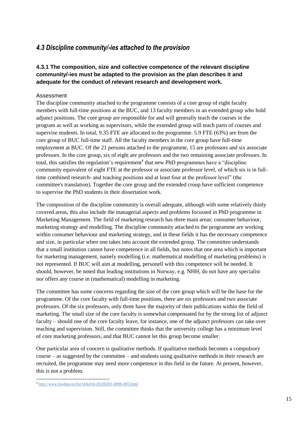### <span id="page-18-0"></span>*4.3 Discipline community/-ies attached to the provision*

### **4.3.1 The composition, size and collective competence of the relevant discipline community/-ies must be adapted to the provision as the plan describes it and adequate for the conduct of relevant research and development work.**

### Assessment

The discipline community attached to the programme consists of a core group of eight faculty members with full-time positions at the BUC, and 13 faculty members in an extended group who hold adjunct positions. The core group are responsible for and will generally teach the courses in the program as well as working as supervisors, while the extended group will teach parts of courses and supervise students. In total, 9.35 FTE are allocated to the programme. 5.9 FTE (63%) are from the core group of BUC full-time staff. All the faculty members in the core group have full-time employment at BUC. Of the 21 persons attached to the programme, 15 are professors and six associate professors. In the core group, six of eight are professors and the two remaining associate professors. In total, this satisfies the regulation's requirement<sup>4</sup> that new PhD programmes have a "discipline" community equivalent of eight FTE at the professor or associate professor level, of which six is in fulltime combined research- and teaching positions and at least four at the professor level" (the committee's translation). Together the core group and the extended croup have sufficient competence to supervise the PhD students in their dissertation work.

The composition of the discipline community is overall adequate, although with some relatively thinly covered areas, this also include the managerial aspects and problems focussed in PhD programme in Marketing Management. The field of marketing research has three main areas: consumer behaviour, marketing strategy and modelling. The discipline community attached to the programme are working within consumer behaviour and marketing strategy, and in these fields it has the necessary competence and size, in particular when one takes into account the extended group. The committee understands that a small institution cannot have competence in all fields, but notes that one area which is important for marketing management, namely modelling (i.e. mathematical modelling of marketing problems) is not represented. If BUC will aim at modelling, personell with this competence will be needed. It should, however, be noted that leading institutions in Norway, e.g. NHH, do not have any specialist nor offers any course in (mathematical) modelling in marketing.

The committee has some concerns regarding the size of the core group which will be the base for the programme. Of the core faculty with full-time positions, there are six professors and two associate professors. Of the six professors, only three have the majority of their publications within the field of marketing. The small size of the core faculty is somewhat compensated for by the strong list of adjunct faculty – should one of the core faculty leave, for instance, one of the adjunct professors can take over teaching and supervision. Still, the committee thinks that the university college has a minimum level of core marketing professors, and that BUC cannot let this group become smaller.

One particular area of concern is qualitative methods. If qualitative methods becomes a compulsory course – as suggested by the committee – and students using qualitative methods in their research are recruited, the programme may need more competence in this field in the future. At present, however, this is not a problem.

 4 <http://www.lovdata.no/for/sf/kd/td-20100201-0096-003.html>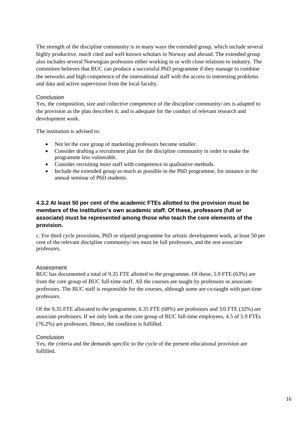The strength of the discipline community is in many ways the extended group, which include several highly productive, much cited and well-known scholars in Norway and abroad. The extended group also includes several Norwegian professors either working in or with close relations to industry. The committee believes that BUC can produce a successful PhD programme if they manage to combine the networks and high competence of the international staff with the access to interesting problems and data and active supervision from the local faculty.

### **Conclusion**

Yes, the composition, size and collective competence of the discipline community/-ies is adapted to the provision as the plan describes it, and is adequate for the conduct of relevant research and development work.

The institution is advised to:

- Not let the core group of marketing professors become smaller.
- Consider drafting a recruitment plan for the discipline community in order to make the programme less vulnerable.
- Consider recruiting more staff with competence in qualitative methods.
- Include the extended group as much as possible in the PhD programme, for instance in the annual seminar of PhD students.

### **4.3.2 At least 50 per cent of the academic FTEs allotted to the provision must be members of the institution's own academic staff. Of these, professors (full or associate) must be represented among those who teach the core elements of the provision.**

c. For third cycle provisions, PhD or stipend programme for artistic development work, at least 50 per cent of the relevant discipline community/-ies must be full professors, and the rest associate professors.

### Assessment

BUC has documented a total of 9.35 FTE allotted to the programme. Of these, 5.9 FTE (63%) are from the core group of BUC full-time staff. All the courses are taught by professors or associate professors. The BUC staff is responsible for the courses, although some are co-taught with part-time professors.

Of the 9.35 FTE allocated to the programme, 6.35 FTE (68%) are professors and 3.0 FTE (32%) are associate professors. If we only look at the core group of BUC full-time employees, 4.5 of 5.9 FTEs (76.2%) are professors. Hence, the condition is fulfilled.

### **Conclusion**

Yes, the criteria and the demands specific to the cycle of the present educational provision are fulfilled.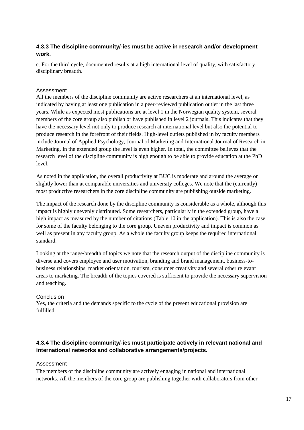### **4.3.3 The discipline community/-ies must be active in research and/or development work.**

c. For the third cycle, documented results at a high international level of quality, with satisfactory disciplinary breadth.

### Assessment

All the members of the discipline community are active researchers at an international level, as indicated by having at least one publication in a peer-reviewed publication outlet in the last three years. While as expected most publications are at level 1 in the Norwegian quality system, several members of the core group also publish or have published in level 2 journals. This indicates that they have the necessary level not only to produce research at international level but also the potential to produce research in the forefront of their fields. High-level outlets published in by faculty members include Journal of Applied Psychology, Journal of Marketing and International Journal of Research in Marketing. In the extended group the level is even higher. In total, the committee believes that the research level of the discipline community is high enough to be able to provide education at the PhD level.

As noted in the application, the overall productivity at BUC is moderate and around the average or slightly lower than at comparable universities and university colleges. We note that the (currently) most productive researchers in the core discipline community are publishing outside marketing.

The impact of the research done by the discipline community is considerable as a whole, although this impact is highly unevenly distributed. Some researchers, particularly in the extended group, have a high impact as measured by the number of citations (Table 10 in the application). This is also the case for some of the faculty belonging to the core group. Uneven productivity and impact is common as well as present in any faculty group. As a whole the faculty group keeps the required international standard.

Looking at the range/breadth of topics we note that the research output of the discipline community is diverse and covers employee and user motivation, branding and brand management, business-tobusiness relationships, market orientation, tourism, consumer creativity and several other relevant areas to marketing. The breadth of the topics covered is sufficient to provide the necessary supervision and teaching.

### **Conclusion**

Yes, the criteria and the demands specific to the cycle of the present educational provision are fulfilled.

### **4.3.4 The discipline community/-ies must participate actively in relevant national and international networks and collaborative arrangements/projects.**

### Assessment

The members of the discipline community are actively engaging in national and international networks. All the members of the core group are publishing together with collaborators from other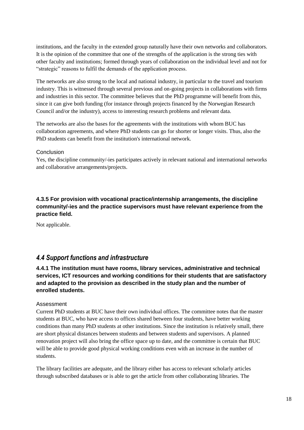institutions, and the faculty in the extended group naturally have their own networks and collaborators. It is the opinion of the committee that one of the strengths of the application is the strong ties with other faculty and institutions; formed through years of collaboration on the individual level and not for "strategic" reasons to fulfil the demands of the application process.

The networks are also strong to the local and national industry, in particular to the travel and tourism industry. This is witnessed through several previous and on-going projects in collaborations with firms and industries in this sector. The committee believes that the PhD programme will benefit from this, since it can give both funding (for instance through projects financed by the Norwegian Research Council and/or the industry), access to interesting research problems and relevant data.

The networks are also the bases for the agreements with the institutions with whom BUC has collaboration agreements, and where PhD students can go for shorter or longer visits. Thus, also the PhD students can benefit from the institution's international network.

### Conclusion

Yes, the discipline community/-ies participates actively in relevant national and international networks and collaborative arrangements/projects.

### **4.3.5 For provision with vocational practice/internship arrangements, the discipline community/-ies and the practice supervisors must have relevant experience from the practice field.**

Not applicable.

### <span id="page-21-0"></span>*4.4 Support functions and infrastructure*

**4.4.1 The institution must have rooms, library services, administrative and technical services, ICT resources and working conditions for their students that are satisfactory and adapted to the provision as described in the study plan and the number of enrolled students.** 

### Assessment

Current PhD students at BUC have their own individual offices. The committee notes that the master students at BUC, who have access to offices shared between four students, have better working conditions than many PhD students at other institutions. Since the institution is relatively small, there are short physical distances between students and between students and supervisors. A planned renovation project will also bring the office space up to date, and the committee is certain that BUC will be able to provide good physical working conditions even with an increase in the number of students.

The library facilities are adequate, and the library either has access to relevant scholarly articles through subscribed databases or is able to get the article from other collaborating libraries. The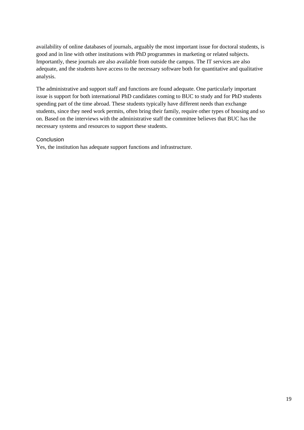availability of online databases of journals, arguably the most important issue for doctoral students, is good and in line with other institutions with PhD programmes in marketing or related subjects. Importantly, these journals are also available from outside the campus. The IT services are also adequate, and the students have access to the necessary software both for quantitative and qualitative analysis.

The administrative and support staff and functions are found adequate. One particularly important issue is support for both international PhD candidates coming to BUC to study and for PhD students spending part of the time abroad. These students typically have different needs than exchange students, since they need work permits, often bring their family, require other types of housing and so on. Based on the interviews with the administrative staff the committee believes that BUC has the necessary systems and resources to support these students.

### Conclusion

Yes, the institution has adequate support functions and infrastructure.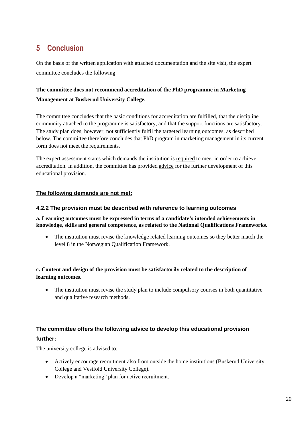# <span id="page-23-0"></span>**5 Conclusion**

On the basis of the written application with attached documentation and the site visit, the expert committee concludes the following:

### **The committee does not recommend accreditation of the PhD programme in Marketing Management at Buskerud University College.**

The committee concludes that the basic conditions for accreditation are fulfilled, that the discipline community attached to the programme is satisfactory, and that the support functions are satisfactory. The study plan does, however, not sufficiently fulfil the targeted learning outcomes, as described below. The committee therefore concludes that PhD program in marketing management in its current form does not meet the requirements.

The expert assessment states which demands the institution is required to meet in order to achieve accreditation. In addition, the committee has provided advice for the further development of this educational provision.

### **The following demands are not met:**

### **4.2.2 The provision must be described with reference to learning outcomes**

### **a. Learning outcomes must be expressed in terms of a candidate's intended achievements in knowledge, skills and general competence, as related to the National Qualifications Frameworks.**

• The institution must revise the knowledge related learning outcomes so they better match the level 8 in the Norwegian Qualification Framework.

### **c. Content and design of the provision must be satisfactorily related to the description of learning outcomes.**

• The institution must revise the study plan to include compulsory courses in both quantitative and qualitative research methods.

# **The committee offers the following advice to develop this educational provision**

### **further:**

The university college is advised to:

- Actively encourage recruitment also from outside the home institutions (Buskerud University College and Vestfold University College).
- Develop a "marketing" plan for active recruitment.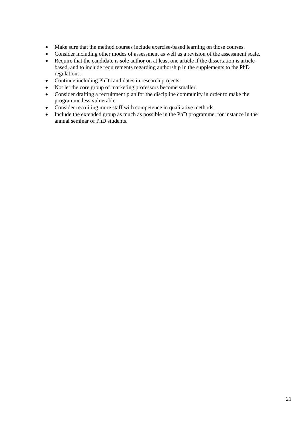- Make sure that the method courses include exercise-based learning on those courses.
- Consider including other modes of assessment as well as a revision of the assessment scale.
- Require that the candidate is sole author on at least one article if the dissertation is articlebased, and to include requirements regarding authorship in the supplements to the PhD regulations.
- Continue including PhD candidates in research projects.
- Not let the core group of marketing professors become smaller.
- Consider drafting a recruitment plan for the discipline community in order to make the programme less vulnerable.
- Consider recruiting more staff with competence in qualitative methods.
- Include the extended group as much as possible in the PhD programme, for instance in the annual seminar of PhD students.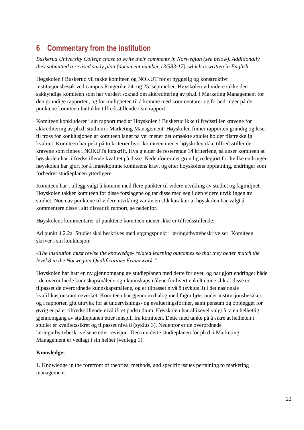# <span id="page-25-0"></span>**6 Commentary from the institution**

*Buskerud University College chose to write their comments in Norwegian (see below). Additionally they submitted a revised study plan (document number 13/383-17), which is written in English.*

Høgskolen i Buskerud vil takke komiteen og NOKUT for et hyggelig og konstruktivt institusjonsbesøk ved campus Ringerike 24. og 25. septmeber. Høyskolen vil videre takke den sakkyndige komiteen som har vurdert søknad om akkreditering av ph.d. i Marketing Management for den grundige rapporten, og for muligheten til å komme med kommentarer og forbedringer på de punktene komiteen fant ikke tilfredsstillende i sin rapport.

Komiteen konkluderer i sin rapport med at Høyskolen i Buskerud ikke tilfredsstiller kravene for akkreditering av ph.d. studium i Marketing Management. Høyskolen finner rapporten grundig og leser til tross for konklusjonen at komiteen langt på vei mener det omsøkte studiet holder tilstrekkelig kvalitet. Komiteen har pekt på to kriterier hvor komiteen mener høyskolen ikke tilfredsstiller de kravene som finnes i NOKUTs forskrift. Hva gjelder de resterende 14 kriteriene, så anser komiteen at høyskolen har tilfredsstillende kvalitet på disse. Nedenfor er det grundig redegjort for hvilke endringer høyskolen har gjort for å imøtekomme komiteens krav, og etter høyskolens oppfatning, endringer som forbedrer studieplanen ytterligere.

Komiteen har i tillegg valgt å komme med flere punkter til videre utvikling av studiet og fagmiljøet. Høyskolen takker komiteen for disse forslagene og tar disse med seg i den videre utviklingen av studiet. Noen av punktene til videre utvikling var av en slik karakter at høyskolen har valgt å kommentere disse i sitt tilsvar til rapport, se nedenfor.

Høyskolens kommentarer til punktene komiteen mener ikke er tilfredsstillende:

Ad punkt 4.2.2a. Studiet skal beskrives med utgangspunkt i læringutbyttebeskrivelser. Komiteen skriver i sin konklusjon:

### *«The institution must revise the knowledge- related learning outcomes so that they better match the level 8 in the Norwegian Qualifications Framework."*

Høyskolen har hatt en ny gjennomgang av studieplanen med dette for øyet, og har gjort endringer både i de overordnede kunnskapsmålene og i kunnskapsmålene for hvert enkelt emne slik at disse er tilpasset de overordnede kunnskapsmålene, og er tilpasset nivå 8 (syklus 3) i det nasjonale kvalifikasjonsrammeverket. Komiteen har gjennom dialog med fagmiljøet under institusjonsbesøket, og i rapporten gitt uttrykk for at undervisnings- og evalueringsformer, samt pensum og opplegget for øvrig er på et tilfredsstillende nivå ift et phdstudium. Høyskolen har allikevel valgt å ta en helhetlig gjennomgang av studieplanen etter innspill fra komiteen. Dette med tanke på å sikre at helheten i studiet er kvalitetssikret og tilpasset nivå 8 (syklus 3). Nedenfor er de overordnede læringutbyttebeskrivelsene etter revisjon. Den reviderte studieplanen for ph.d. i Marketing Management er vedlagt i sin helhet (vedlegg 1).

### **Knowledge:**

1. Knowledge in the forefront of theories, methods, and specific issues pertaining to marketing management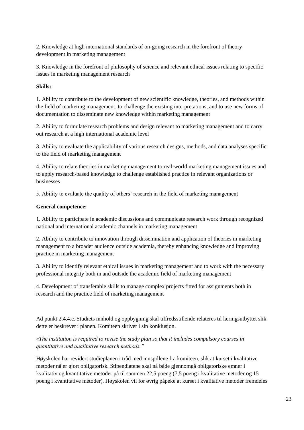2. Knowledge at high international standards of on-going research in the forefront of theory development in marketing management

3. Knowledge in the forefront of philosophy of science and relevant ethical issues relating to specific issues in marketing management research

### **Skills:**

1. Ability to contribute to the development of new scientific knowledge, theories, and methods within the field of marketing management, to challenge the existing interpretations, and to use new forms of documentation to disseminate new knowledge within marketing management

2. Ability to formulate research problems and design relevant to marketing management and to carry out research at a high international academic level

3. Ability to evaluate the applicability of various research designs, methods, and data analyses specific to the field of marketing management

4. Ability to relate theories in marketing management to real-world marketing management issues and to apply research-based knowledge to challenge established practice in relevant organizations or businesses

5. Ability to evaluate the quality of others' research in the field of marketing management

### **General competence:**

1. Ability to participate in academic discussions and communicate research work through recognized national and international academic channels in marketing management

2. Ability to contribute to innovation through dissemination and application of theories in marketing management to a broader audience outside academia, thereby enhancing knowledge and improving practice in marketing management

3. Ability to identify relevant ethical issues in marketing management and to work with the necessary professional integrity both in and outside the academic field of marketing management

4. Development of transferable skills to manage complex projects fitted for assignments both in research and the practice field of marketing management

Ad punkt 2.4.4.c. Studiets innhold og oppbygning skal tilfredsstillende relateres til læringsutbyttet slik dette er beskrevet i planen. Komiteen skriver i sin konklusjon.

*«The institution is required to revise the study plan so that it includes compulsory courses in quantitative and qualitative research methods."*

Høyskolen har revidert studieplanen i tråd med innspillene fra komiteen, slik at kurset i kvalitative metoder nå er gjort obligatorisk. Stipendiatene skal nå både gjennomgå obligatoriske emner i kvalitativ og kvantitative metoder på til sammen 22,5 poeng (7,5 poeng i kvalitative metoder og 15 poeng i kvantitative metoder). Høyskolen vil for øvrig påpeke at kurset i kvalitative metoder fremdeles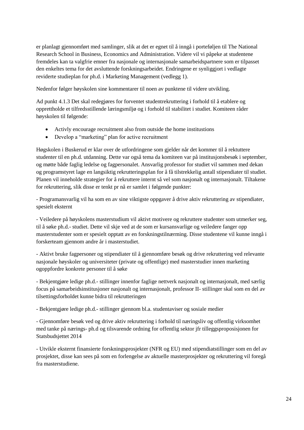er planlagt gjennomført med samlinger, slik at det er egnet til å inngå i porteføljen til The National Research School in Business, Economics and Administration. Videre vil vi påpeke at studentene fremdeles kan ta valgfrie emner fra nasjonale og internasjonale samarbeidspartnere som er tilpasset den enkeltes tema for det avsluttende forskningsarbeidet. Endringene er synliggjort i vedlagte reviderte studieplan for ph.d. i Marketing Management (vedlegg 1).

Nedenfor følger høyskolen sine kommentarer til noen av punktene til videre utvikling.

Ad punkt 4.1.3 Det skal redegjøres for forventet studentrekruttering i forhold til å etablere og opprettholde et tilfredsstillende læringsmiljø og i forhold til stabilitet i studiet. Komiteen råder høyskolen til følgende:

- Activly encourage recruitment also from outside the home institustions
- Develop a "marketing" plan for active recruitment

Høgskolen i Buskerud er klar over de utfordringene som gjelder når det kommer til å rektuttere studenter til en ph.d. utdanning. Dette var også tema da komiteen var på institusjonsbesøk i september, og møtte både faglig ledelse og fagpersonalet. Ansvarlig professor for studiet vil sammen med dekan og programstyret lage en langsiktig rekrutteringsplan for å få tilstrekkelig antall stipendiater til studiet. Planen vil inneholde strategier for å rekruttere internt så vel som nasjonalt og internasjonalt. Tiltakene for rekruttering, slik disse er tenkt pr nå er samlet i følgende punkter:

- Programansvarlig vil ha som en av sine viktigste oppgaver å drive aktiv rekruttering av stipendiater, spesielt eksternt

- Veiledere på høyskolens masterstudium vil aktivt motivere og rekruttere studenter som utmerker seg, til å søke ph.d.- studiet. Dette vil skje ved at de som er kursansvarlige og veiledere fanger opp masterstudenter som er spesielt opptatt av en forskningstilnærming. Disse studentene vil kunne inngå i forskerteam gjennom andre år i masterstudiet.

- Aktivt bruke fagpersoner og stipendiater til å gjennomføre besøk og drive rekruttering ved relevante nasjonale høyskoler og universiteter (private og offentlige) med masterstudier innen marketing ogoppfordre konkrete personer til å søke

- Bekjentgjøre ledige ph.d.- stillinger innenfor faglige nettverk nasjonalt og internasjonalt, med særlig focus på samarbeidsinstitusjoner nasjonalt og internasjonalt, professor II- stillinger skal som en del av tilsettingsforholdet kunne bidra til rekrutteringen

- Bekjentgjøre ledige ph.d.- stillinger gjennom bl.a. studentaviser og sosiale medier

- Gjennomføre besøk ved og drive aktiv rekruttering i forhold til næringsliv og offentlig virksomhet med tanke på nærings- ph.d og tilsvarende ordning for offentlig sektor jfr tilleggsproposisjonen for Statsbudsjettet 2014

- Utvikle eksternt finansierte forskningsprosjekter (NFR og EU) med stipendiatstillinger som en del av prosjektet, disse kan sees på som en forlengelse av aktuelle masterprosjekter og rekruttering vil foregå fra masterstudiene.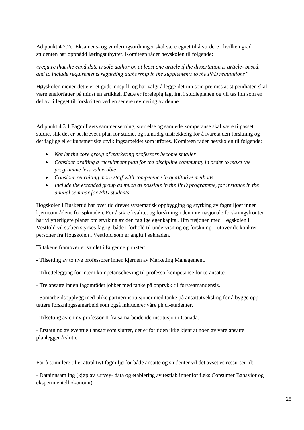Ad punkt 4.2.2e. Eksamens- og vurderingsordninger skal være egnet til å vurdere i hvilken grad studenten har oppnådd læringsutbyttet. Komiteen råder høyskolen til følgende:

*«require that the candidate is sole author on at least one article if the dissertation is article- based, and to include requirements regarding authorship in the supplements to the PhD regulations"*

Høyskolen mener dette er et godt innspill, og har valgt å legge det inn som premiss at stipendiaten skal være eneforfatter på minst en artikkel. Dette er foreløpig lagt inn i studieplanen og vil tas inn som en del av tillegget til forskriften ved en senere revidering av denne.

Ad punkt 4.3.1 Fagmiljøets sammensetning, størrelse og samlede kompetanse skal være tilpasset studiet slik det er beskrevet i plan for studiet og samtidig tilstrekkelig for å ivareta den forskning og det faglige eller kunstneriske utviklingsarbeidet som utføres. Komiteen råder høyskolen til følgende:

- *Not let the core group of marketing professors become smaller*
- *Consider drafting a recruitment plan for the discipline community in order to make the programme less vulnerable*
- *Consider recruiting more staff with competence in qualitative methods*
- *Include the extended group as much as possible in the PhD programme, for instance in the annual seminar for PhD students*

Høgskolen i Buskerud har over tid drevet systematisk oppbygging og styrking av fagmiljøet innen kjerneområdene for søknaden. For å sikre kvalitet og forskning i den internasjonale forskningsfronten har vi ytterligere planer om styrking av den faglige egenkapital. Ifm fusjonen med Høgskolen i Vestfold vil staben styrkes faglig, både i forhold til undervisning og forskning – utover de konkret personer fra Høgskolen i Vestfold som er angitt i søknaden.

Tiltakene framover er samlet i følgende punkter:

- Tilsetting av to nye professorer innen kjernen av Marketing Management.

- Tilrettelegging for intern kompetanseheving til professorkompetanse for to ansatte.

- Tre ansatte innen fagområdet jobber med tanke på opprykk til førsteamanuensis.

- Samarbeidsopplegg med ulike partnerinstitusjoner med tanke på ansattutveksling for å bygge opp tettere forskningssamarbeid som også inkluderer våre ph.d.-studenter.

- Tilsetting av en ny professor II fra samarbeidende institusjon i Canada.

- Erstatning av eventuelt ansatt som slutter, det er for tiden ikke kjent at noen av våre ansatte planlegger å slutte.

For å stimulere til et attraktivt fagmiljø for både ansatte og studenter vil det avsettes ressurser til:

- Datainnsamling (kjøp av survey- data og etablering av testlab innenfor f.eks Consumer Bahavior og eksperimentell økonomi)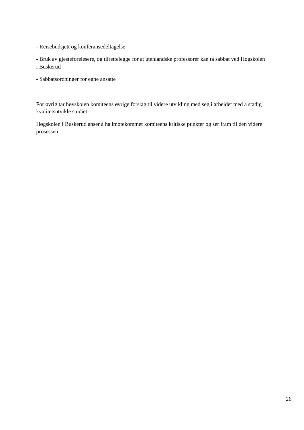- Reisebudsjett og konferansedeltagelse

- Bruk av gjesteforelesere, og tilrettelegge for at utenlandske professorer kan ta sabbat ved Høgskolen i Buskerud

- Sabbatsordninger for egne ansatte

For øvrig tar høyskolen komiteens øvrige forslag til videre utvikling med seg i arbeidet med å stadig kvalitetsutvikle studiet.

Høgskolen i Buskerud anser å ha imøtekommet komiteens kritiske punkter og ser fram til den videre prosessen.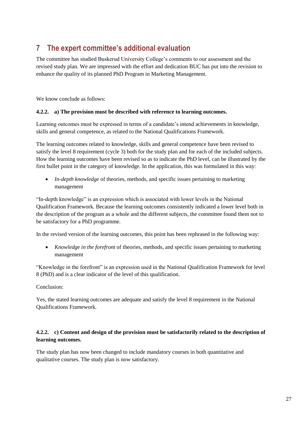# <span id="page-30-0"></span>**7 The expert committee's additional evaluation**

The committee has studied Buskerud University College's comments to our assessment and the revised study plan. We are impressed with the effort and dedication BUC has put into the revision to enhance the quality of its planned PhD Program in Marketing Management.

We know conclude as follows:

### **4.2.2. a) The provision must be described with reference to learning outcomes.**

Learning outcomes must be expressed in terms of a candidate's intend achievements in knowledge, skills and general competence, as related to the National Qualifications Framework.

The learning outcomes related to knowledge, skills and general competence have been revised to satisfy the level 8 requirement (cycle 3) both for the study plan and for each of the included subjects. How the learning outcomes have been revised so as to indicate the PhD level, can be illustrated by the first bullet point in the category of knowledge. In the application, this was formulated in this way:

• *In-depth knowledge* of theories, methods, and specific issues pertaining to marketing management

"In-depth knowledge" is an expression which is associated with lower levels in the National Qualification Framework. Because the learning outcomes consistently indicated a lower level both in the description of the program as a whole and the different subjects, the committee found them not to be satisfactory for a PhD programme.

In the revised version of the learning outcomes, this point has been rephrased in the following way:

 *Knowledge in the forefront* of theories, methods, and specific issues pertaining to marketing management

"Knowledge in the forefront" is an expression used in the National Qualification Framework for level 8 (PhD) and is a clear indicator of the level of this qualification.

Conclusion:

Yes, the stated learning outcomes are adequate and satisfy the level 8 requirement in the National Qualifications Framework.

### **4.2.2. c) Content and design of the provision must be satisfactorily related to the description of learning outcomes.**

The study plan has now been changed to include mandatory courses in both quantitative and qualitative courses. The study plan is now satisfactory.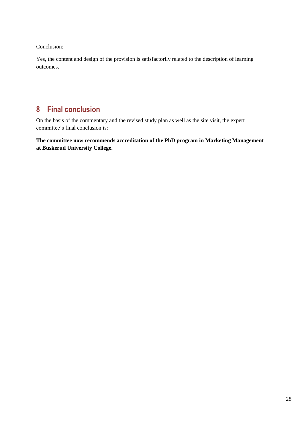Conclusion:

Yes, the content and design of the provision is satisfactorily related to the description of learning outcomes.

# <span id="page-31-0"></span>**8 Final conclusion**

On the basis of the commentary and the revised study plan as well as the site visit, the expert committee's final conclusion is:

**The committee now recommends accreditation of the PhD program in Marketing Management at Buskerud University College.**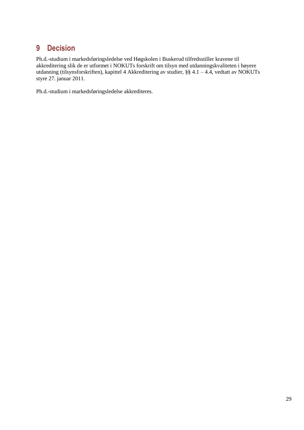# <span id="page-32-0"></span>**9 Decision**

Ph.d.-studium i markedsføringsledelse ved Høgskolen i Buskerud tilfredsstiller kravene til akkreditering slik de er utformet i NOKUTs forskrift om tilsyn med utdanningskvaliteten i høyere utdanning (tilsynsforskriften), kapittel 4 Akkreditering av studier, §§ 4.1 – 4.4, vedtatt av NOKUTs styre 27. januar 2011.

Ph.d.-studium i markedsføringsledelse akkrediteres.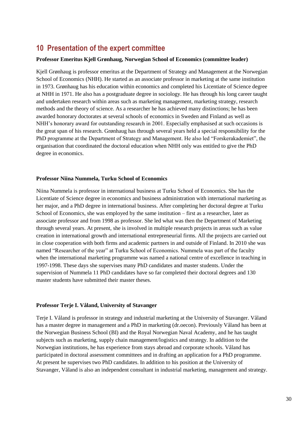# <span id="page-33-0"></span>**10 Presentation of the expert committee**

### **Professor Emeritus Kjell Grønhaug, Norwegian School of Economics (committee leader)**

Kjell Grønhaug is professor emeritus at the Department of Strategy and Management at the Norwegian School of Economics (NHH). He started as an associate professor in marketing at the same institution in 1973. Grønhaug has his education within economics and completed his Licentiate of Science degree at NHH in 1971. He also has a postgraduate degree in sociology. He has through his long career taught and undertaken research within areas such as marketing management, marketing strategy, research methods and the theory of science. As a researcher he has achieved many distinctions; he has been awarded honorary doctorates at several schools of economics in Sweden and Finland as well as NHH's honorary award for outstanding research in 2001. Especially emphasised at such occasions is the great span of his research. Grønhaug has through several years held a special responsibility for the PhD programme at the Department of Strategy and Management. He also led "Forskerakademiet", the organisation that coordinated the doctoral education when NHH only was entitled to give the PhD degree in economics.

#### **Professor Niina Nummela, Turku School of Economics**

Niina Nummela is professor in international business at Turku School of Economics. She has the Licentiate of Science degree in economics and business administration with international marketing as her major, and a PhD degree in international business. After completing her doctoral degree at Turku School of Economics, she was employed by the same institution – first as a researcher, later as associate professor and from 1998 as professor. She led what was then the Department of Marketing through several years. At present, she is involved in multiple research projects in areas such as value creation in international growth and international entrepreneurial firms. All the projects are carried out in close cooperation with both firms and academic partners in and outside of Finland. In 2010 she was named "Researcher of the year" at Turku School of Economics. Nummela was part of the faculty when the international marketing programme was named a national centre of excellence in teaching in 1997-1998. These days she supervises many PhD candidates and master students. Under the supervision of Nummela 11 PhD candidates have so far completed their doctoral degrees and 130 master students have submitted their master theses.

#### **Professor Terje I. Våland, University of Stavanger**

Terje I. Våland is professor in strategy and industrial marketing at the University of Stavanger. Våland has a master degree in management and a PhD in marketing (dr.oecon). Previously Våland has been at the Norwegian Business School (BI) and the Royal Norwegian Naval Academy, and he has taught subjects such as marketing, supply chain management/logistics and strategy. In addition to the Norwegian institutions, he has experience from stays abroad and corporate schools. Våland has participated in doctoral assessment committees and in drafting an application for a PhD programme. At present he supervises two PhD candidates. In addition to his position at the University of Stavanger, Våland is also an independent consultant in industrial marketing, management and strategy.